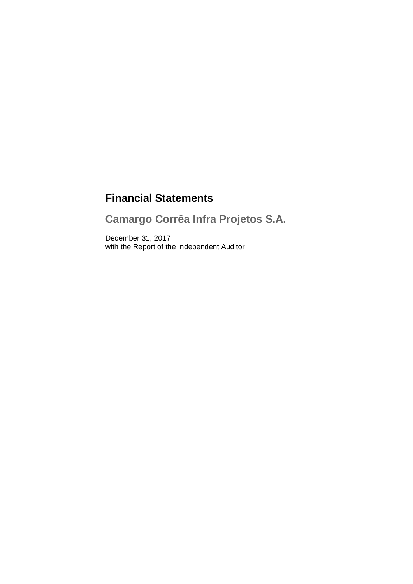# **Financial Statements**

**Camargo Corrêa Infra Projetos S.A.**

December 31, 2017 with the Report of the Independent Auditor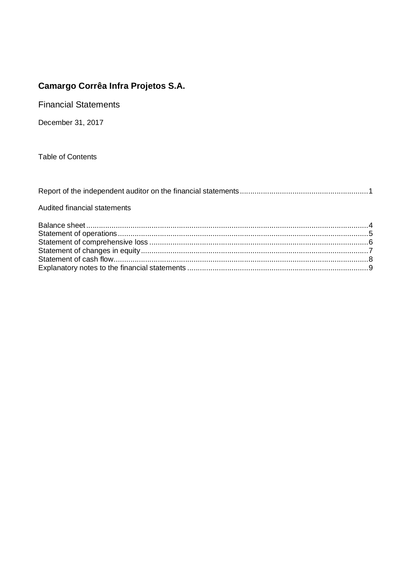**Financial Statements** 

December 31, 2017

**Table of Contents** 

# Audited financial statements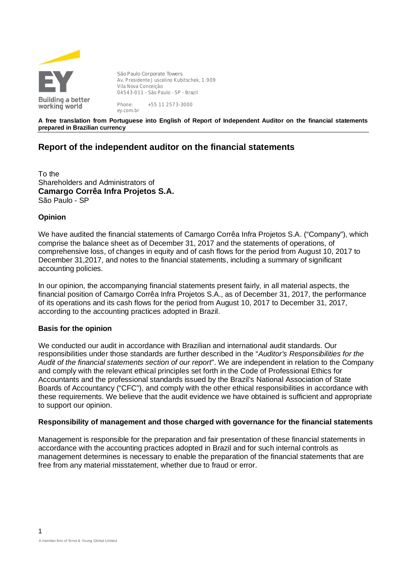

**São Paulo Corporate Towers** Av. Presidente Juscelino Kubitschek, 1.909 Vila Nova Conceição 04543-011 - São Paulo - SP - Brazil Phone: +55 11 2573-3000

**A free translation from Portuguese into English of Report of Independent Auditor on the financial statements prepared in Brazilian currency**

# **Report of the independent auditor on the financial statements**

To the Shareholders and Administrators of **Camargo Corrêa Infra Projetos S.A.** São Paulo - SP

ey.com.br

# **Opinion**

We have audited the financial statements of Camargo Corrêa Infra Projetos S.A. ("Company"), which comprise the balance sheet as of December 31, 2017 and the statements of operations, of comprehensive loss, of changes in equity and of cash flows for the period from August 10, 2017 to December 31,2017, and notes to the financial statements, including a summary of significant accounting policies.

In our opinion, the accompanying financial statements present fairly, in all material aspects, the financial position of Camargo Corrêa Infra Projetos S.A., as of December 31, 2017, the performance of its operations and its cash flows for the period from August 10, 2017 to December 31, 2017, according to the accounting practices adopted in Brazil.

### **Basis for the opinion**

We conducted our audit in accordance with Brazilian and international audit standards. Our responsibilities under those standards are further described in the "*Auditor's Responsibilities for the Audit of the financial statements section of our report*". We are independent in relation to the Company and comply with the relevant ethical principles set forth in the Code of Professional Ethics for Accountants and the professional standards issued by the Brazil's National Association of State Boards of Accountancy ("CFC"), and comply with the other ethical responsibilities in accordance with these requirements. We believe that the audit evidence we have obtained is sufficient and appropriate to support our opinion.

### **Responsibility of management and those charged with governance for the financial statements**

Management is responsible for the preparation and fair presentation of these financial statements in accordance with the accounting practices adopted in Brazil and for such internal controls as management determines is necessary to enable the preparation of the financial statements that are free from any material misstatement, whether due to fraud or error.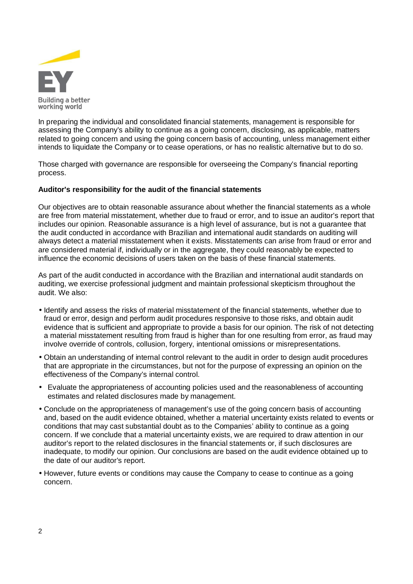

In preparing the individual and consolidated financial statements, management is responsible for assessing the Company's ability to continue as a going concern, disclosing, as applicable, matters related to going concern and using the going concern basis of accounting, unless management either intends to liquidate the Company or to cease operations, or has no realistic alternative but to do so.

Those charged with governance are responsible for overseeing the Company's financial reporting process.

### **Auditor's responsibility for the audit of the financial statements**

Our objectives are to obtain reasonable assurance about whether the financial statements as a whole are free from material misstatement, whether due to fraud or error, and to issue an auditor's report that includes our opinion. Reasonable assurance is a high level of assurance, but is not a guarantee that the audit conducted in accordance with Brazilian and international audit standards on auditing will always detect a material misstatement when it exists. Misstatements can arise from fraud or error and are considered material if, individually or in the aggregate, they could reasonably be expected to influence the economic decisions of users taken on the basis of these financial statements.

As part of the audit conducted in accordance with the Brazilian and international audit standards on auditing, we exercise professional judgment and maintain professional skepticism throughout the audit. We also:

- Identify and assess the risks of material misstatement of the financial statements, whether due to fraud or error, design and perform audit procedures responsive to those risks, and obtain audit evidence that is sufficient and appropriate to provide a basis for our opinion. The risk of not detecting a material misstatement resulting from fraud is higher than for one resulting from error, as fraud may involve override of controls, collusion, forgery, intentional omissions or misrepresentations.
- Obtain an understanding of internal control relevant to the audit in order to design audit procedures that are appropriate in the circumstances, but not for the purpose of expressing an opinion on the effectiveness of the Company's internal control.
- Evaluate the appropriateness of accounting policies used and the reasonableness of accounting estimates and related disclosures made by management.
- Conclude on the appropriateness of management's use of the going concern basis of accounting and, based on the audit evidence obtained, whether a material uncertainty exists related to events or conditions that may cast substantial doubt as to the Companies' ability to continue as a going concern. If we conclude that a material uncertainty exists, we are required to draw attention in our auditor's report to the related disclosures in the financial statements or, if such disclosures are inadequate, to modify our opinion. Our conclusions are based on the audit evidence obtained up to the date of our auditor's report.
- However, future events or conditions may cause the Company to cease to continue as a going concern.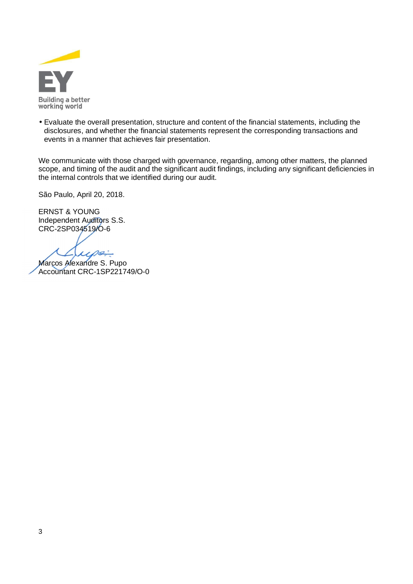

 Evaluate the overall presentation, structure and content of the financial statements, including the disclosures, and whether the financial statements represent the corresponding transactions and events in a manner that achieves fair presentation.

We communicate with those charged with governance, regarding, among other matters, the planned scope, and timing of the audit and the significant audit findings, including any significant deficiencies in the internal controls that we identified during our audit.

São Paulo, April 20, 2018.

ERNST & YOUNG Independent Auditors S.S. CRC-2SP034519/O-6

x.  $\mathcal{P}$ 

Marcos Alexandre S. Pupo Accountant CRC-1SP221749/O-0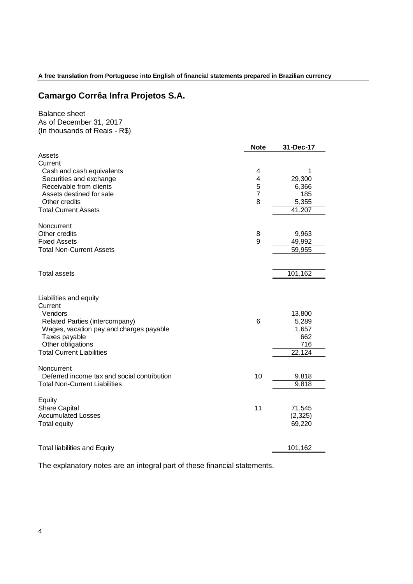**A free translation from Portuguese into English of financial statements prepared in Brazilian currency**

# **Camargo Corrêa Infra Projetos S.A.**

# Balance sheet As of December 31, 2017 (In thousands of Reais - R\$)

|                                                       | <b>Note</b>    | 31-Dec-17       |
|-------------------------------------------------------|----------------|-----------------|
| Assets                                                |                |                 |
| Current                                               |                |                 |
| Cash and cash equivalents                             | 4              | 1               |
| Securities and exchange<br>Receivable from clients    | 4<br>5         | 29,300<br>6,366 |
| Assets destined for sale                              | $\overline{7}$ | 185             |
| Other credits                                         | 8              | 5,355           |
| <b>Total Current Assets</b>                           |                | 41,207          |
|                                                       |                |                 |
| Noncurrent                                            |                |                 |
| Other credits<br><b>Fixed Assets</b>                  | 8<br>9         | 9,963<br>49,992 |
| <b>Total Non-Current Assets</b>                       |                | 59,955          |
|                                                       |                |                 |
| <b>Total assets</b>                                   |                | 101,162         |
|                                                       |                |                 |
| Liabilities and equity                                |                |                 |
| Current                                               |                |                 |
| Vendors                                               |                | 13,800          |
| Related Parties (intercompany)                        | 6              | 5,289           |
| Wages, vacation pay and charges payable               |                | 1,657           |
| Taxes payable                                         |                | 662             |
| Other obligations<br><b>Total Current Liabilities</b> |                | 716             |
|                                                       |                | 22,124          |
| Noncurrent                                            |                |                 |
| Deferred income tax and social contribution           | 10             | 9,818           |
| <b>Total Non-Current Liabilities</b>                  |                | 9,818           |
| Equity                                                |                |                 |
| <b>Share Capital</b>                                  | 11             | 71,545          |
| <b>Accumulated Losses</b>                             |                | (2, 325)        |
| <b>Total equity</b>                                   |                | 69,220          |
|                                                       |                |                 |
| <b>Total liabilities and Equity</b>                   |                | 101,162         |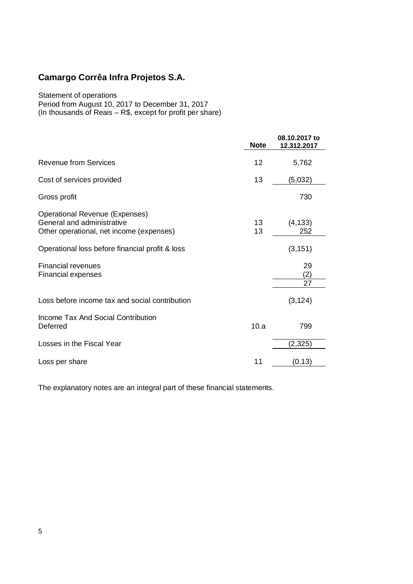Statement of operations

Period from August 10, 2017 to December 31, 2017 (In thousands of Reais – R\$, except for profit per share)

|                                                                                                                 | <b>Note</b> | 08.10.2017 to<br>12.312.2017 |
|-----------------------------------------------------------------------------------------------------------------|-------------|------------------------------|
| <b>Revenue from Services</b>                                                                                    | 12          | 5,762                        |
| Cost of services provided                                                                                       | 13          | (5,032)                      |
| Gross profit                                                                                                    |             | 730                          |
| <b>Operational Revenue (Expenses)</b><br>General and administrative<br>Other operational, net income (expenses) | 13<br>13    | (4, 133)<br>252              |
| Operational loss before financial profit & loss                                                                 |             | (3, 151)                     |
| <b>Financial revenues</b><br><b>Financial expenses</b>                                                          |             | 29<br>(2)<br>27              |
| Loss before income tax and social contribution                                                                  |             | (3, 124)                     |
| Income Tax And Social Contribution<br>Deferred                                                                  | 10.a        | 799                          |
| Losses in the Fiscal Year                                                                                       |             | (2, 325)                     |
| Loss per share                                                                                                  | 11          | (0.13)                       |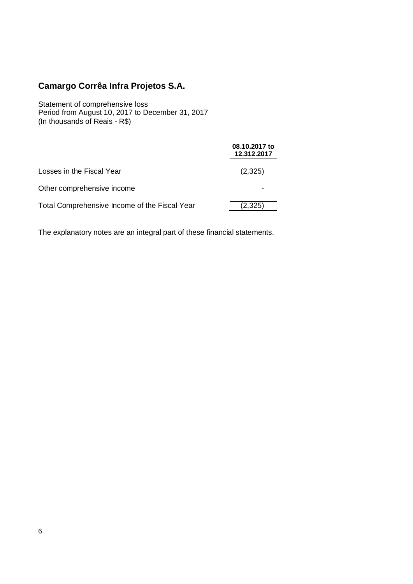Statement of comprehensive loss Period from August 10, 2017 to December 31, 2017 (In thousands of Reais - R\$)

|                                               | 08.10.2017 to<br>12.312.2017 |
|-----------------------------------------------|------------------------------|
| Losses in the Fiscal Year                     | (2,325)                      |
| Other comprehensive income                    |                              |
| Total Comprehensive Income of the Fiscal Year | (2,325)                      |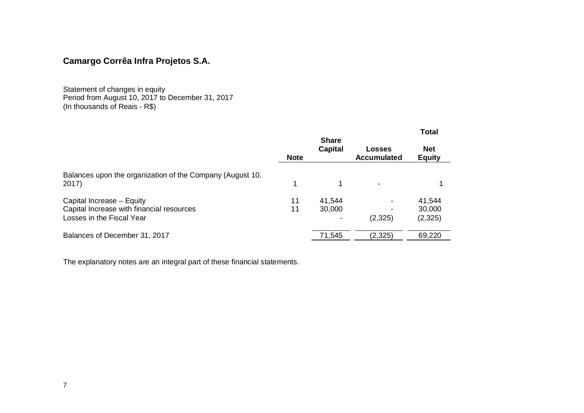Statement of changes in equity Period from August 10, 2017 to December 31, 2017 (In thousands of Reais - R\$)

|                                                                                                     |             |                                |                              | <b>Total</b>                |
|-----------------------------------------------------------------------------------------------------|-------------|--------------------------------|------------------------------|-----------------------------|
|                                                                                                     | <b>Note</b> | <b>Share</b><br><b>Capital</b> | Losses<br><b>Accumulated</b> | <b>Net</b><br><b>Equity</b> |
| Balances upon the organization of the Company (August 10,<br>2017)                                  |             |                                |                              |                             |
| Capital Increase - Equity<br>Capital Increase with financial resources<br>Losses in the Fiscal Year | 11<br>11    | 41,544<br>30,000               | (2,325)                      | 41,544<br>30,000<br>(2,325) |
| Balances of December 31, 2017                                                                       |             | 71,545                         | (2, 325)                     | 69,220                      |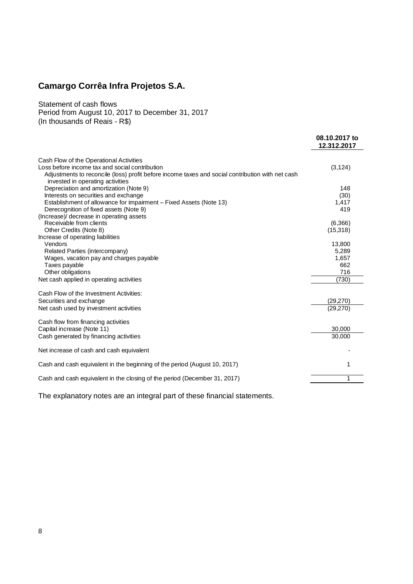Statement of cash flows Period from August 10, 2017 to December 31, 2017 (In thousands of Reais - R\$)

|                                                                                                                                                                                        | 08.10.2017 to<br>12.312.2017 |
|----------------------------------------------------------------------------------------------------------------------------------------------------------------------------------------|------------------------------|
| Cash Flow of the Operational Activities                                                                                                                                                |                              |
| Loss before income tax and social contribution<br>Adjustments to reconcile (loss) profit before income taxes and social contribution with net cash<br>invested in operating activities | (3, 124)                     |
| Depreciation and amortization (Note 9)                                                                                                                                                 | 148                          |
| Interests on securities and exchange                                                                                                                                                   | (30)                         |
| Establishment of allowance for impairment - Fixed Assets (Note 13)                                                                                                                     | 1,417                        |
| Derecognition of fixed assets (Note 9)<br>(Increase)/ decrease in operating assets                                                                                                     | 419                          |
| Receivable from clients                                                                                                                                                                | (6,366)                      |
| Other Credits (Note 8)<br>Increase of operating liabilities                                                                                                                            | (15,318)                     |
| Vendors                                                                                                                                                                                | 13,800                       |
| Related Parties (intercompany)                                                                                                                                                         | 5,289                        |
| Wages, vacation pay and charges payable                                                                                                                                                | 1,657                        |
| Taxes payable                                                                                                                                                                          | 662                          |
| Other obligations                                                                                                                                                                      | 716                          |
| Net cash applied in operating activities                                                                                                                                               | (730)                        |
| Cash Flow of the Investment Activities:                                                                                                                                                |                              |
| Securities and exchange                                                                                                                                                                | (29,270)                     |
| Net cash used by investment activities                                                                                                                                                 | (29, 270)                    |
| Cash flow from financing activities                                                                                                                                                    |                              |
| Capital increase (Note 11)                                                                                                                                                             | 30,000                       |
| Cash generated by financing activities                                                                                                                                                 | 30,000                       |
| Net increase of cash and cash equivalent                                                                                                                                               |                              |
| Cash and cash equivalent in the beginning of the period (August 10, 2017)                                                                                                              | 1                            |
| Cash and cash equivalent in the closing of the period (December 31, 2017)                                                                                                              | 1                            |
|                                                                                                                                                                                        |                              |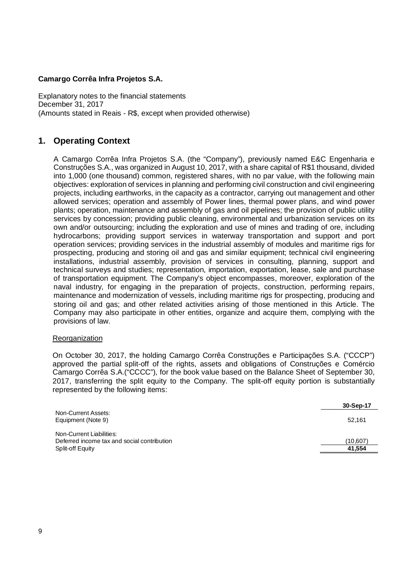Explanatory notes to the financial statements December 31, 2017 (Amounts stated in Reais - R\$, except when provided otherwise)

# **1. Operating Context**

A Camargo Corrêa Infra Projetos S.A. (the "Company"), previously named E&C Engenharia e Construções S.A., was organized in August 10, 2017, with a share capital of R\$1 thousand, divided into 1,000 (one thousand) common, registered shares, with no par value, with the following main objectives: exploration of services in planning and performing civil construction and civil engineering projects, including earthworks, in the capacity as a contractor, carrying out management and other allowed services; operation and assembly of Power lines, thermal power plans, and wind power plants; operation, maintenance and assembly of gas and oil pipelines; the provision of public utility services by concession; providing public cleaning, environmental and urbanization services on its own and/or outsourcing; including the exploration and use of mines and trading of ore, including hydrocarbons; providing support services in waterway transportation and support and port operation services; providing services in the industrial assembly of modules and maritime rigs for prospecting, producing and storing oil and gas and similar equipment; technical civil engineering installations, industrial assembly, provision of services in consulting, planning, support and technical surveys and studies; representation, importation, exportation, lease, sale and purchase of transportation equipment. The Company's object encompasses, moreover, exploration of the naval industry, for engaging in the preparation of projects, construction, performing repairs, maintenance and modernization of vessels, including maritime rigs for prospecting, producing and storing oil and gas; and other related activities arising of those mentioned in this Article. The Company may also participate in other entities, organize and acquire them, complying with the provisions of law.

### **Reorganization**

On October 30, 2017, the holding Camargo Corrêa Construções e Participações S.A. ("CCCP") approved the partial split-off of the rights, assets and obligations of Construções e Comércio Camargo Corrêa S.A.("CCCC"), for the book value based on the Balance Sheet of September 30, 2017, transferring the split equity to the Company. The split-off equity portion is substantially represented by the following items:

|                                                                         | 30-Sep-17 |
|-------------------------------------------------------------------------|-----------|
| Non-Current Assets:<br>Equipment (Note 9)                               | 52.161    |
| Non-Current Liabilities:<br>Deferred income tax and social contribution | (10.607)  |
| Split-off Equity                                                        | 41.554    |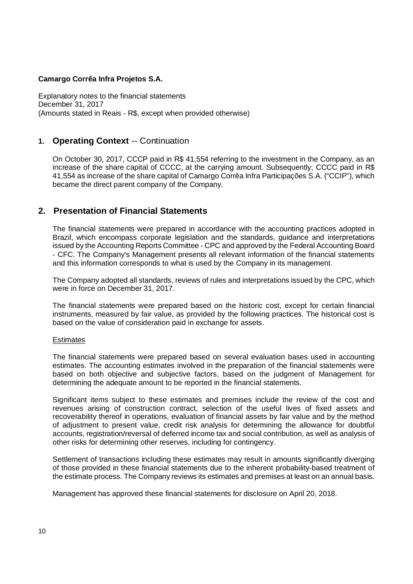Explanatory notes to the financial statements December 31, 2017 (Amounts stated in Reais - R\$, except when provided otherwise)

# **1. Operating Context** -- Continuation

On October 30, 2017, CCCP paid in R\$ 41,554 referring to the investment in the Company, as an increase of the share capital of CCCC, at the carrying amount. Subsequently, CCCC paid in R\$ 41,554 as increase of the share capital of Camargo Corrêa Infra Participações S.A. ("CCIP"), which became the direct parent company of the Company.

# **2. Presentation of Financial Statements**

The financial statements were prepared in accordance with the accounting practices adopted in Brazil, which encompass corporate legislation and the standards, guidance and interpretations issued by the Accounting Reports Committee - CPC and approved by the Federal Accounting Board - CFC. The Company's Management presents all relevant information of the financial statements and this information corresponds to what is used by the Company in its management.

The Company adopted all standards, reviews of rules and interpretations issued by the CPC, which were in force on December 31, 2017.

The financial statements were prepared based on the historic cost, except for certain financial instruments, measured by fair value, as provided by the following practices. The historical cost is based on the value of consideration paid in exchange for assets.

### **Estimates**

The financial statements were prepared based on several evaluation bases used in accounting estimates. The accounting estimates involved in the preparation of the financial statements were based on both objective and subjective factors, based on the judgment of Management for determining the adequate amount to be reported in the financial statements.

Significant items subject to these estimates and premises include the review of the cost and revenues arising of construction contract, selection of the useful lives of fixed assets and recoverability thereof in operations, evaluation of financial assets by fair value and by the method of adjustment to present value, credit risk analysis for determining the allowance for doubtful accounts, registration/reversal of deferred income tax and social contribution, as well as analysis of other risks for determining other reserves, including for contingency.

Settlement of transactions including these estimates may result in amounts significantly diverging of those provided in these financial statements due to the inherent probability-based treatment of the estimate process. The Company reviews its estimates and premises at least on an annual basis.

Management has approved these financial statements for disclosure on April 20, 2018.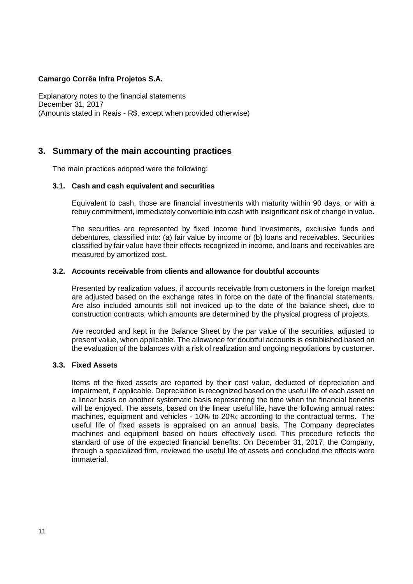Explanatory notes to the financial statements December 31, 2017 (Amounts stated in Reais - R\$, except when provided otherwise)

# **3. Summary of the main accounting practices**

The main practices adopted were the following:

### **3.1. Cash and cash equivalent and securities**

Equivalent to cash, those are financial investments with maturity within 90 days, or with a rebuy commitment, immediately convertible into cash with insignificant risk of change in value.

The securities are represented by fixed income fund investments, exclusive funds and debentures, classified into: (a) fair value by income or (b) loans and receivables. Securities classified by fair value have their effects recognized in income, and loans and receivables are measured by amortized cost.

#### **3.2. Accounts receivable from clients and allowance for doubtful accounts**

Presented by realization values, if accounts receivable from customers in the foreign market are adjusted based on the exchange rates in force on the date of the financial statements. Are also included amounts still not invoiced up to the date of the balance sheet, due to construction contracts, which amounts are determined by the physical progress of projects.

Are recorded and kept in the Balance Sheet by the par value of the securities, adjusted to present value, when applicable. The allowance for doubtful accounts is established based on the evaluation of the balances with a risk of realization and ongoing negotiations by customer.

### **3.3. Fixed Assets**

Items of the fixed assets are reported by their cost value, deducted of depreciation and impairment, if applicable. Depreciation is recognized based on the useful life of each asset on a linear basis on another systematic basis representing the time when the financial benefits will be enjoyed. The assets, based on the linear useful life, have the following annual rates: machines, equipment and vehicles - 10% to 20%; according to the contractual terms. The useful life of fixed assets is appraised on an annual basis. The Company depreciates machines and equipment based on hours effectively used. This procedure reflects the standard of use of the expected financial benefits. On December 31, 2017, the Company, through a specialized firm, reviewed the useful life of assets and concluded the effects were immaterial.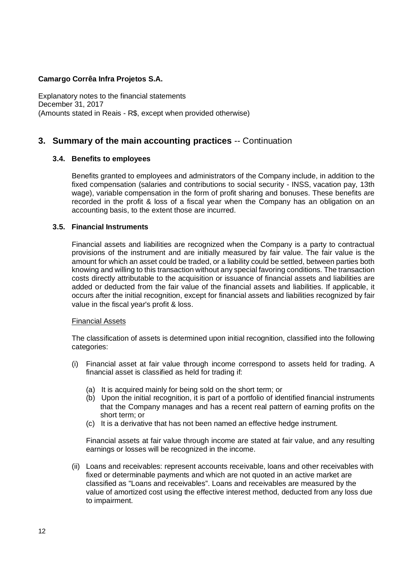Explanatory notes to the financial statements December 31, 2017 (Amounts stated in Reais - R\$, except when provided otherwise)

# **3. Summary of the main accounting practices** -- Continuation

### **3.4. Benefits to employees**

Benefits granted to employees and administrators of the Company include, in addition to the fixed compensation (salaries and contributions to social security - INSS, vacation pay, 13th wage), variable compensation in the form of profit sharing and bonuses. These benefits are recorded in the profit & loss of a fiscal year when the Company has an obligation on an accounting basis, to the extent those are incurred.

### **3.5. Financial Instruments**

Financial assets and liabilities are recognized when the Company is a party to contractual provisions of the instrument and are initially measured by fair value. The fair value is the amount for which an asset could be traded, or a liability could be settled, between parties both knowing and willing to this transaction without any special favoring conditions. The transaction costs directly attributable to the acquisition or issuance of financial assets and liabilities are added or deducted from the fair value of the financial assets and liabilities. If applicable, it occurs after the initial recognition, except for financial assets and liabilities recognized by fair value in the fiscal year's profit & loss.

### Financial Assets

The classification of assets is determined upon initial recognition, classified into the following categories:

- (i) Financial asset at fair value through income correspond to assets held for trading. A financial asset is classified as held for trading if:
	- (a) It is acquired mainly for being sold on the short term; or
	- (b) Upon the initial recognition, it is part of a portfolio of identified financial instruments that the Company manages and has a recent real pattern of earning profits on the short term; or
	- (c) It is a derivative that has not been named an effective hedge instrument.

Financial assets at fair value through income are stated at fair value, and any resulting earnings or losses will be recognized in the income.

(ii) Loans and receivables: represent accounts receivable, loans and other receivables with fixed or determinable payments and which are not quoted in an active market are classified as "Loans and receivables". Loans and receivables are measured by the value of amortized cost using the effective interest method, deducted from any loss due to impairment.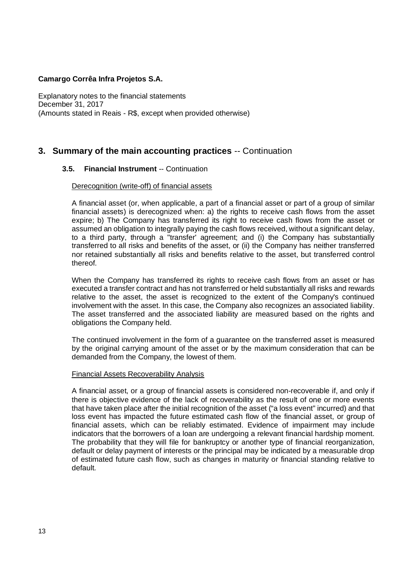Explanatory notes to the financial statements December 31, 2017 (Amounts stated in Reais - R\$, except when provided otherwise)

# **3. Summary of the main accounting practices** -- Continuation

### **3.5. Financial Instrument** -- Continuation

#### Derecognition (write-off) of financial assets

A financial asset (or, when applicable, a part of a financial asset or part of a group of similar financial assets) is derecognized when: a) the rights to receive cash flows from the asset expire; b) The Company has transferred its right to receive cash flows from the asset or assumed an obligation to integrally paying the cash flows received, without a significant delay, to a third party, through a "transfer' agreement; and (i) the Company has substantially transferred to all risks and benefits of the asset, or (ii) the Company has neither transferred nor retained substantially all risks and benefits relative to the asset, but transferred control thereof.

When the Company has transferred its rights to receive cash flows from an asset or has executed a transfer contract and has not transferred or held substantially all risks and rewards relative to the asset, the asset is recognized to the extent of the Company's continued involvement with the asset. In this case, the Company also recognizes an associated liability. The asset transferred and the associated liability are measured based on the rights and obligations the Company held.

The continued involvement in the form of a guarantee on the transferred asset is measured by the original carrying amount of the asset or by the maximum consideration that can be demanded from the Company, the lowest of them.

#### Financial Assets Recoverability Analysis

A financial asset, or a group of financial assets is considered non-recoverable if, and only if there is objective evidence of the lack of recoverability as the result of one or more events that have taken place after the initial recognition of the asset ("a loss event" incurred) and that loss event has impacted the future estimated cash flow of the financial asset, or group of financial assets, which can be reliably estimated. Evidence of impairment may include indicators that the borrowers of a loan are undergoing a relevant financial hardship moment. The probability that they will file for bankruptcy or another type of financial reorganization, default or delay payment of interests or the principal may be indicated by a measurable drop of estimated future cash flow, such as changes in maturity or financial standing relative to default.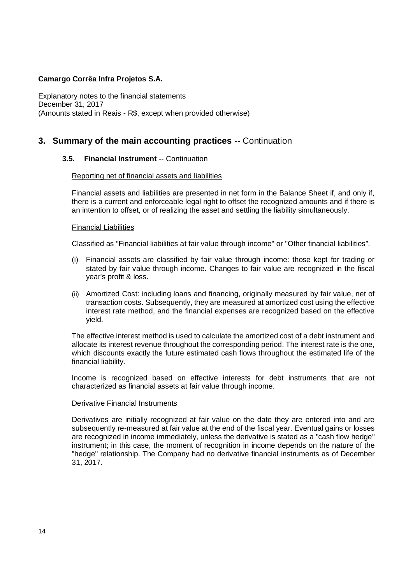Explanatory notes to the financial statements December 31, 2017 (Amounts stated in Reais - R\$, except when provided otherwise)

# **3. Summary of the main accounting practices** -- Continuation

# **3.5. Financial Instrument** -- Continuation

#### Reporting net of financial assets and liabilities

Financial assets and liabilities are presented in net form in the Balance Sheet if, and only if, there is a current and enforceable legal right to offset the recognized amounts and if there is an intention to offset, or of realizing the asset and settling the liability simultaneously.

#### Financial Liabilities

Classified as "Financial liabilities at fair value through income" or "Other financial liabilities".

- (i) Financial assets are classified by fair value through income: those kept for trading or stated by fair value through income. Changes to fair value are recognized in the fiscal year's profit & loss.
- (ii) Amortized Cost: including loans and financing, originally measured by fair value, net of transaction costs. Subsequently, they are measured at amortized cost using the effective interest rate method, and the financial expenses are recognized based on the effective yield.

The effective interest method is used to calculate the amortized cost of a debt instrument and allocate its interest revenue throughout the corresponding period. The interest rate is the one, which discounts exactly the future estimated cash flows throughout the estimated life of the financial liability.

Income is recognized based on effective interests for debt instruments that are not characterized as financial assets at fair value through income.

### Derivative Financial Instruments

Derivatives are initially recognized at fair value on the date they are entered into and are subsequently re-measured at fair value at the end of the fiscal year. Eventual gains or losses are recognized in income immediately, unless the derivative is stated as a "cash flow hedge" instrument; in this case, the moment of recognition in income depends on the nature of the "hedge" relationship. The Company had no derivative financial instruments as of December 31, 2017.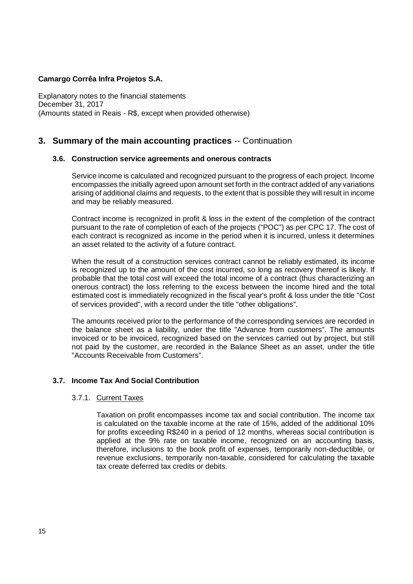Explanatory notes to the financial statements December 31, 2017 (Amounts stated in Reais - R\$, except when provided otherwise)

# **3. Summary of the main accounting practices** -- Continuation

#### **3.6. Construction service agreements and onerous contracts**

Service income is calculated and recognized pursuant to the progress of each project. Income encompasses the initially agreed upon amount set forth in the contract added of any variations arising of additional claims and requests, to the extent that is possible they will result in income and may be reliably measured.

Contract income is recognized in profit & loss in the extent of the completion of the contract pursuant to the rate of completion of each of the projects ("POC") as per CPC 17. The cost of each contract is recognized as income in the period when it is incurred, unless it determines an asset related to the activity of a future contract.

When the result of a construction services contract cannot be reliably estimated, its income is recognized up to the amount of the cost incurred, so long as recovery thereof is likely. If probable that the total cost will exceed the total income of a contract (thus characterizing an onerous contract) the loss referring to the excess between the income hired and the total estimated cost is immediately recognized in the fiscal year's profit & loss under the title "Cost of services provided", with a record under the title "other obligations".

The amounts received prior to the performance of the corresponding services are recorded in the balance sheet as a liability, under the title "Advance from customers". The amounts invoiced or to be invoiced, recognized based on the services carried out by project, but still not paid by the customer, are recorded in the Balance Sheet as an asset, under the title "Accounts Receivable from Customers".

### **3.7. Income Tax And Social Contribution**

#### 3.7.1. Current Taxes

Taxation on profit encompasses income tax and social contribution. The income tax is calculated on the taxable income at the rate of 15%, added of the additional 10% for profits exceeding R\$240 in a period of 12 months, whereas social contribution is applied at the 9% rate on taxable income, recognized on an accounting basis, therefore, inclusions to the book profit of expenses, temporarily non-deductible, or revenue exclusions, temporarily non-taxable, considered for calculating the taxable tax create deferred tax credits or debits.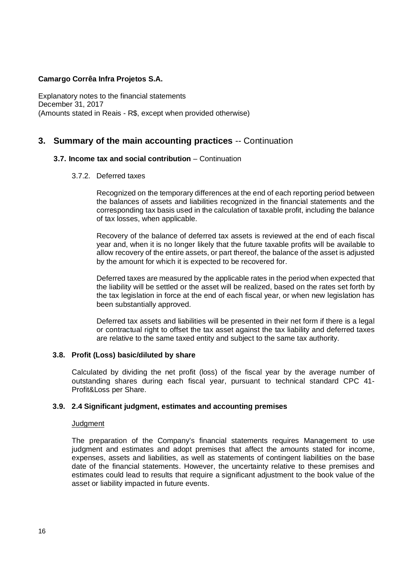Explanatory notes to the financial statements December 31, 2017 (Amounts stated in Reais - R\$, except when provided otherwise)

# **3. Summary of the main accounting practices** -- Continuation

### **3.7. Income tax and social contribution** – Continuation

3.7.2. Deferred taxes

Recognized on the temporary differences at the end of each reporting period between the balances of assets and liabilities recognized in the financial statements and the corresponding tax basis used in the calculation of taxable profit, including the balance of tax losses, when applicable.

Recovery of the balance of deferred tax assets is reviewed at the end of each fiscal year and, when it is no longer likely that the future taxable profits will be available to allow recovery of the entire assets, or part thereof, the balance of the asset is adjusted by the amount for which it is expected to be recovered for.

Deferred taxes are measured by the applicable rates in the period when expected that the liability will be settled or the asset will be realized, based on the rates set forth by the tax legislation in force at the end of each fiscal year, or when new legislation has been substantially approved.

Deferred tax assets and liabilities will be presented in their net form if there is a legal or contractual right to offset the tax asset against the tax liability and deferred taxes are relative to the same taxed entity and subject to the same tax authority.

### **3.8. Profit (Loss) basic/diluted by share**

Calculated by dividing the net profit (loss) of the fiscal year by the average number of outstanding shares during each fiscal year, pursuant to technical standard CPC 41- Profit&Loss per Share.

### **3.9. 2.4 Significant judgment, estimates and accounting premises**

### **Judgment**

The preparation of the Company's financial statements requires Management to use judgment and estimates and adopt premises that affect the amounts stated for income, expenses, assets and liabilities, as well as statements of contingent liabilities on the base date of the financial statements. However, the uncertainty relative to these premises and estimates could lead to results that require a significant adjustment to the book value of the asset or liability impacted in future events.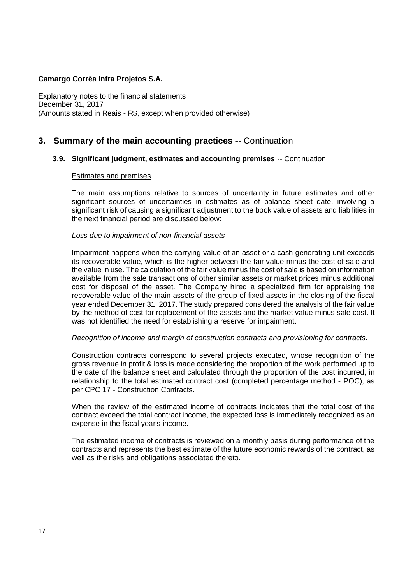Explanatory notes to the financial statements December 31, 2017 (Amounts stated in Reais - R\$, except when provided otherwise)

# **3. Summary of the main accounting practices** -- Continuation

### **3.9. Significant judgment, estimates and accounting premises** -- Continuation

### Estimates and premises

The main assumptions relative to sources of uncertainty in future estimates and other significant sources of uncertainties in estimates as of balance sheet date, involving a significant risk of causing a significant adjustment to the book value of assets and liabilities in the next financial period are discussed below:

#### *Loss due to impairment of non-financial assets*

Impairment happens when the carrying value of an asset or a cash generating unit exceeds its recoverable value, which is the higher between the fair value minus the cost of sale and the value in use. The calculation of the fair value minus the cost of sale is based on information available from the sale transactions of other similar assets or market prices minus additional cost for disposal of the asset. The Company hired a specialized firm for appraising the recoverable value of the main assets of the group of fixed assets in the closing of the fiscal year ended December 31, 2017. The study prepared considered the analysis of the fair value by the method of cost for replacement of the assets and the market value minus sale cost. It was not identified the need for establishing a reserve for impairment.

#### *Recognition of income and margin of construction contracts and provisioning for contracts.*

Construction contracts correspond to several projects executed, whose recognition of the gross revenue in profit & loss is made considering the proportion of the work performed up to the date of the balance sheet and calculated through the proportion of the cost incurred, in relationship to the total estimated contract cost (completed percentage method - POC), as per CPC 17 - Construction Contracts.

When the review of the estimated income of contracts indicates that the total cost of the contract exceed the total contract income, the expected loss is immediately recognized as an expense in the fiscal year's income.

The estimated income of contracts is reviewed on a monthly basis during performance of the contracts and represents the best estimate of the future economic rewards of the contract, as well as the risks and obligations associated thereto.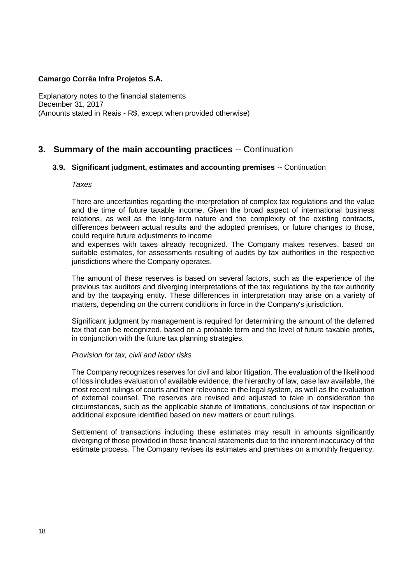Explanatory notes to the financial statements December 31, 2017 (Amounts stated in Reais - R\$, except when provided otherwise)

# **3. Summary of the main accounting practices** -- Continuation

# **3.9. Significant judgment, estimates and accounting premises** -- Continuation

#### *Taxes*

There are uncertainties regarding the interpretation of complex tax regulations and the value and the time of future taxable income. Given the broad aspect of international business relations, as well as the long-term nature and the complexity of the existing contracts, differences between actual results and the adopted premises, or future changes to those, could require future adjustments to income

and expenses with taxes already recognized. The Company makes reserves, based on suitable estimates, for assessments resulting of audits by tax authorities in the respective jurisdictions where the Company operates.

The amount of these reserves is based on several factors, such as the experience of the previous tax auditors and diverging interpretations of the tax regulations by the tax authority and by the taxpaying entity. These differences in interpretation may arise on a variety of matters, depending on the current conditions in force in the Company's jurisdiction.

Significant judgment by management is required for determining the amount of the deferred tax that can be recognized, based on a probable term and the level of future taxable profits, in conjunction with the future tax planning strategies.

### *Provision for tax, civil and labor risks*

The Company recognizes reserves for civil and labor litigation. The evaluation of the likelihood of loss includes evaluation of available evidence, the hierarchy of law, case law available, the most recent rulings of courts and their relevance in the legal system, as well as the evaluation of external counsel. The reserves are revised and adjusted to take in consideration the circumstances, such as the applicable statute of limitations, conclusions of tax inspection or additional exposure identified based on new matters or court rulings.

Settlement of transactions including these estimates may result in amounts significantly diverging of those provided in these financial statements due to the inherent inaccuracy of the estimate process. The Company revises its estimates and premises on a monthly frequency.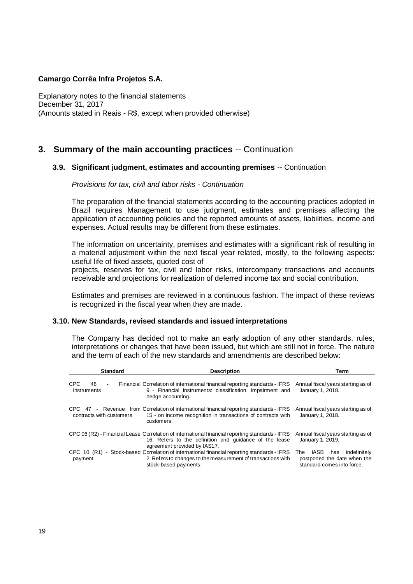Explanatory notes to the financial statements December 31, 2017 (Amounts stated in Reais - R\$, except when provided otherwise)

# **3. Summary of the main accounting practices** -- Continuation

# **3.9. Significant judgment, estimates and accounting premises** -- Continuation

#### *Provisions for tax, civil and labor risks - Continuation*

The preparation of the financial statements according to the accounting practices adopted in Brazil requires Management to use judgment, estimates and premises affecting the application of accounting policies and the reported amounts of assets, liabilities, income and expenses. Actual results may be different from these estimates.

The information on uncertainty, premises and estimates with a significant risk of resulting in a material adjustment within the next fiscal year related, mostly, to the following aspects: useful life of fixed assets, quoted cost of

projects, reserves for tax, civil and labor risks, intercompany transactions and accounts receivable and projections for realization of deferred income tax and social contribution.

Estimates and premises are reviewed in a continuous fashion. The impact of these reviews is recognized in the fiscal year when they are made.

### **3.10. New Standards, revised standards and issued interpretations**

The Company has decided not to make an early adoption of any other standards, rules, interpretations or changes that have been issued, but which are still not in force. The nature and the term of each of the new standards and amendments are described below:

| <b>Standard</b>                                   | <b>Description</b>                                                                                                                                                                        | Term                                                                                            |
|---------------------------------------------------|-------------------------------------------------------------------------------------------------------------------------------------------------------------------------------------------|-------------------------------------------------------------------------------------------------|
| <b>CPC</b><br>48<br>$\blacksquare$<br>Instruments | Financial Correlation of international financial reporting standards - IFRS<br>9 - Financial Instruments: classification, impairment and<br>hedge accounting.                             | Annual fiscal years starting as of<br>January 1, 2018.                                          |
| contracts with customers                          | CPC 47 - Revenue from Correlation of international financial reporting standards - IFRS<br>15 - on income recognition in transactions of contracts with<br>customers.                     | Annual fiscal years starting as of<br>January 1, 2018.                                          |
|                                                   | CPC 06 (R2) - Financial Lease Correlation of international financial reporting standards - IFRS<br>16. Refers to the definition and guidance of the lease<br>agreement provided by IAS17. | Annual fiscal years starting as of<br>January 1, 2019.                                          |
| payment                                           | CPC 10 (R1) - Stock-based Correlation of international financial reporting standards - IFRS<br>2. Refers to changes to the measurement of transactions with<br>stock-based payments.      | IASB<br>indefinitelv<br>has<br>The<br>postponed the date when the<br>standard comes into force. |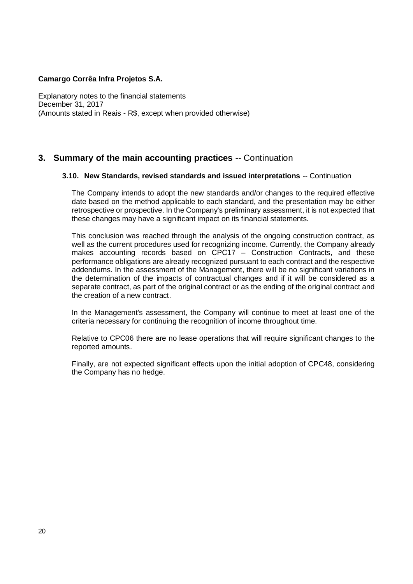Explanatory notes to the financial statements December 31, 2017 (Amounts stated in Reais - R\$, except when provided otherwise)

# **3. Summary of the main accounting practices** -- Continuation

# **3.10. New Standards, revised standards and issued interpretations** -- Continuation

The Company intends to adopt the new standards and/or changes to the required effective date based on the method applicable to each standard, and the presentation may be either retrospective or prospective. In the Company's preliminary assessment, it is not expected that these changes may have a significant impact on its financial statements.

This conclusion was reached through the analysis of the ongoing construction contract, as well as the current procedures used for recognizing income. Currently, the Company already makes accounting records based on CPC17 – Construction Contracts, and these performance obligations are already recognized pursuant to each contract and the respective addendums. In the assessment of the Management, there will be no significant variations in the determination of the impacts of contractual changes and if it will be considered as a separate contract, as part of the original contract or as the ending of the original contract and the creation of a new contract.

In the Management's assessment, the Company will continue to meet at least one of the criteria necessary for continuing the recognition of income throughout time.

Relative to CPC06 there are no lease operations that will require significant changes to the reported amounts.

Finally, are not expected significant effects upon the initial adoption of CPC48, considering the Company has no hedge.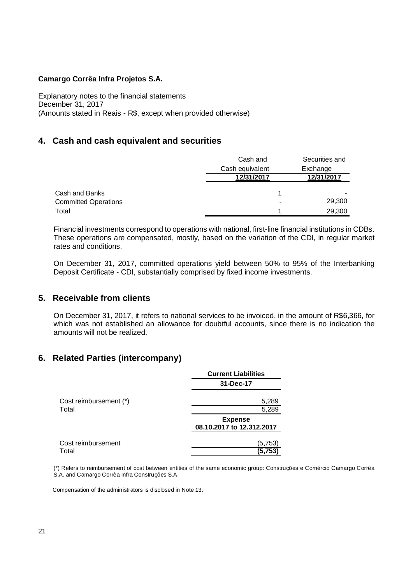Explanatory notes to the financial statements December 31, 2017 (Amounts stated in Reais - R\$, except when provided otherwise)

# **4. Cash and cash equivalent and securities**

|                             | Cash and        | Securities and |
|-----------------------------|-----------------|----------------|
|                             | Cash equivalent | Exchange       |
|                             | 12/31/2017      | 12/31/2017     |
| Cash and Banks              |                 |                |
| <b>Committed Operations</b> |                 | 29,300         |
| Total                       |                 | 29,300         |

Financial investments correspond to operations with national, first-line financial institutions in CDBs. These operations are compensated, mostly, based on the variation of the CDI, in regular market rates and conditions.

On December 31, 2017, committed operations yield between 50% to 95% of the Interbanking Deposit Certificate - CDI, substantially comprised by fixed income investments.

# **5. Receivable from clients**

On December 31, 2017, it refers to national services to be invoiced, in the amount of R\$6,366, for which was not established an allowance for doubtful accounts, since there is no indication the amounts will not be realized.

# **6. Related Parties (intercompany)**

|                             | <b>Current Liabilities</b>                  |
|-----------------------------|---------------------------------------------|
|                             | 31-Dec-17                                   |
| Cost reimbursement (*)      | 5,289                                       |
| Total                       | 5,289                                       |
|                             | <b>Expense</b><br>08.10.2017 to 12.312.2017 |
| Cost reimbursement<br>Total | (5,753)<br>(5,753                           |

(\*) Refers to reimbursement of cost between entities of the same economic group: Construções e Comércio Camargo Corrêa S.A. and Camargo Corrêa Infra Construções S.A.

Compensation of the administrators is disclosed in Note 13.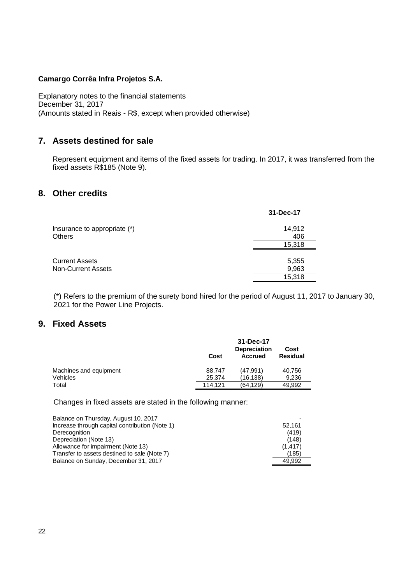Explanatory notes to the financial statements December 31, 2017 (Amounts stated in Reais - R\$, except when provided otherwise)

# **7. Assets destined for sale**

Represent equipment and items of the fixed assets for trading. In 2017, it was transferred from the fixed assets R\$185 (Note 9).

# **8. Other credits**

|                              | 31-Dec-17 |
|------------------------------|-----------|
| Insurance to appropriate (*) | 14,912    |
| Others                       | 406       |
|                              | 15,318    |
|                              |           |
| Current Assets               | 5,355     |
| <b>Non-Current Assets</b>    | 9,963     |
|                              | 15,318    |

(\*) Refers to the premium of the surety bond hired for the period of August 11, 2017 to January 30, 2021 for the Power Line Projects.

# **9. Fixed Assets**

|                        |         | 31-Dec-17                      |                         |  |
|------------------------|---------|--------------------------------|-------------------------|--|
|                        | Cost    | <b>Depreciation</b><br>Accrued | Cost<br><b>Residual</b> |  |
| Machines and equipment | 88.747  | (47.991)                       | 40.756                  |  |
| Vehicles               | 25.374  | (16,138)                       | 9.236                   |  |
| Total                  | 114.121 | (64, 129)                      | 49.992                  |  |

Changes in fixed assets are stated in the following manner:

| 52.161   |
|----------|
| (419)    |
| (148)    |
| (1, 417) |
| (185)    |
| 49.992   |
|          |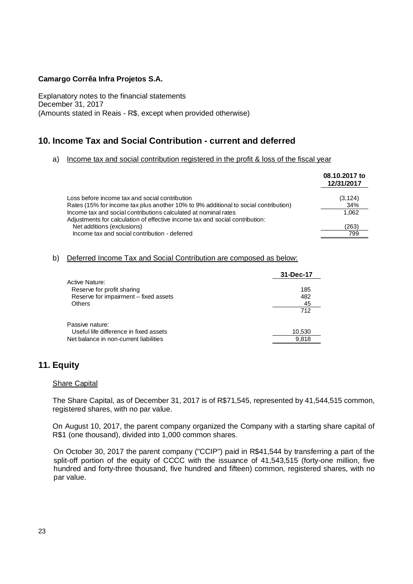Explanatory notes to the financial statements December 31, 2017 (Amounts stated in Reais - R\$, except when provided otherwise)

# **10. Income Tax and Social Contribution - current and deferred**

#### a) Income tax and social contribution registered in the profit & loss of the fiscal year

|                                                                                                                                                 | 08.10.2017 to<br>12/31/2017 |
|-------------------------------------------------------------------------------------------------------------------------------------------------|-----------------------------|
| Loss before income tax and social contribution                                                                                                  | (3, 124)                    |
| Rates (15% for income tax plus another 10% to 9% additional to social contribution)                                                             | 34%                         |
| Income tax and social contributions calculated at nominal rates<br>Adjustments for calculation of effective income tax and social contribution: | 1.062                       |
| Net additions (exclusions)                                                                                                                      | (263)                       |
| Income tax and social contribution - deferred                                                                                                   | 799                         |

# b) Deferred Income Tax and Social Contribution are composed as below:

|                                        | 31-Dec-17 |
|----------------------------------------|-----------|
| <b>Active Nature:</b>                  |           |
| Reserve for profit sharing             | 185       |
| Reserve for impairment - fixed assets  | 482       |
| <b>Others</b>                          | 45        |
|                                        | 712       |
| Passive nature:                        |           |
| Useful life difference in fixed assets | 10,530    |
| Net balance in non-current liabilities | 9.818     |

# **11. Equity**

#### Share Capital

The Share Capital, as of December 31, 2017 is of R\$71,545, represented by 41,544,515 common, registered shares, with no par value.

On August 10, 2017, the parent company organized the Company with a starting share capital of R\$1 (one thousand), divided into 1,000 common shares.

On October 30, 2017 the parent company ("CCIP") paid in R\$41,544 by transferring a part of the split-off portion of the equity of CCCC with the issuance of 41,543,515 (forty-one million, five hundred and forty-three thousand, five hundred and fifteen) common, registered shares, with no par value.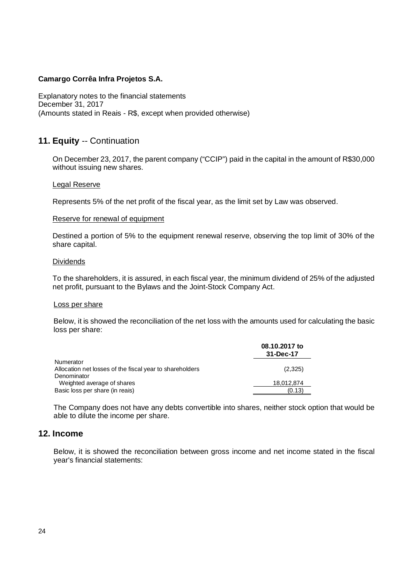Explanatory notes to the financial statements December 31, 2017 (Amounts stated in Reais - R\$, except when provided otherwise)

# **11. Equity** -- Continuation

On December 23, 2017, the parent company ("CCIP") paid in the capital in the amount of R\$30,000 without issuing new shares.

#### Legal Reserve

Represents 5% of the net profit of the fiscal year, as the limit set by Law was observed.

#### Reserve for renewal of equipment

Destined a portion of 5% to the equipment renewal reserve, observing the top limit of 30% of the share capital.

#### **Dividends**

To the shareholders, it is assured, in each fiscal year, the minimum dividend of 25% of the adjusted net profit, pursuant to the Bylaws and the Joint-Stock Company Act.

#### Loss per share

Below, it is showed the reconciliation of the net loss with the amounts used for calculating the basic loss per share:

| 08.10.2017 to<br>31-Dec-17 |  |
|----------------------------|--|
|                            |  |
| (2,325)                    |  |
|                            |  |
| 18,012,874                 |  |
| (0.13)                     |  |
|                            |  |

The Company does not have any debts convertible into shares, neither stock option that would be able to dilute the income per share.

# **12. Income**

Below, it is showed the reconciliation between gross income and net income stated in the fiscal year's financial statements: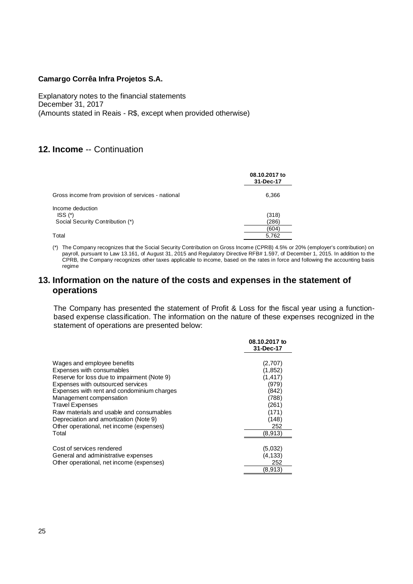Explanatory notes to the financial statements December 31, 2017 (Amounts stated in Reais - R\$, except when provided otherwise)

# **12. Income** -- Continuation

|                                                    | 08.10.2017 to<br>31-Dec-17 |
|----------------------------------------------------|----------------------------|
| Gross income from provision of services - national | 6,366                      |
| Income deduction<br>ISS <sub>1</sub>               | (318)                      |
| Social Security Contribution (*)                   | (286)                      |
|                                                    | (604)                      |
| Total                                              | 5.762                      |

(\*) The Company recognizes that the Social Security Contribution on Gross Income (CPRB) 4.5% or 20% (employer's contribution) on payroll, pursuant to Law 13.161, of August 31, 2015 and Regulatory Directive RFB# 1.597, of December 1, 2015. In addition to the CPRB, the Company recognizes other taxes applicable to income, based on the rates in force and following the accounting basis regime

# **13. Information on the nature of the costs and expenses in the statement of operations**

The Company has presented the statement of Profit & Loss for the fiscal year using a functionbased expense classification. The information on the nature of these expenses recognized in the statement of operations are presented below:

|                                             | 08.10.2017 to<br>31-Dec-17 |
|---------------------------------------------|----------------------------|
|                                             |                            |
| Wages and employee benefits                 | (2,707)                    |
| Expenses with consumables                   | (1,852)                    |
| Reserve for loss due to impairment (Note 9) | (1, 417)                   |
| Expenses with outsourced services           | (979)                      |
| Expenses with rent and condominium charges  | (842)                      |
| Management compensation                     | (788)                      |
| <b>Travel Expenses</b>                      | (261)                      |
| Raw materials and usable and consumables    | (171)                      |
| Depreciation and amortization (Note 9)      | (148)                      |
| Other operational, net income (expenses)    | 252                        |
| Total                                       | (8,913)                    |
|                                             |                            |
| Cost of services rendered                   | (5,032)                    |
| General and administrative expenses         | (4.133)                    |
| Other operational, net income (expenses)    | 252                        |
|                                             | (8, 913)                   |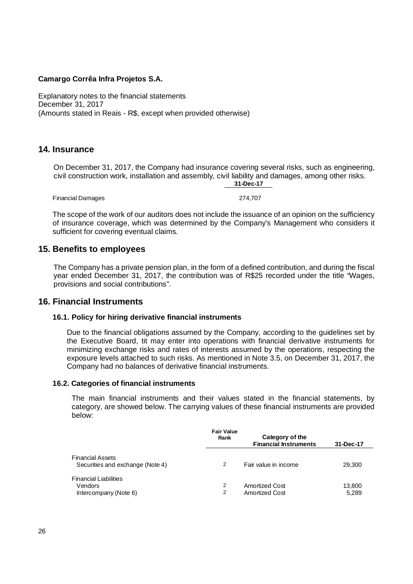Explanatory notes to the financial statements December 31, 2017 (Amounts stated in Reais - R\$, except when provided otherwise)

# **14. Insurance**

On December 31, 2017, the Company had insurance covering several risks, such as engineering, civil construction work, installation and assembly, civil liability and damages, among other risks. **31-Dec-17**

Financial Damages 274,707

The scope of the work of our auditors does not include the issuance of an opinion on the sufficiency of insurance coverage, which was determined by the Company's Management who considers it sufficient for covering eventual claims.

# **15. Benefits to employees**

The Company has a private pension plan, in the form of a defined contribution, and during the fiscal year ended December 31, 2017, the contribution was of R\$25 recorded under the title "Wages, provisions and social contributions".

# **16. Financial Instruments**

### **16.1. Policy for hiring derivative financial instruments**

Due to the financial obligations assumed by the Company, according to the guidelines set by the Executive Board, tit may enter into operations with financial derivative instruments for minimizing exchange risks and rates of interests assumed by the operations, respecting the exposure levels attached to such risks. As mentioned in Note 3.5, on December 31, 2017, the Company had no balances of derivative financial instruments.

### **16.2. Categories of financial instruments**

The main financial instruments and their values stated in the financial statements, by category, are showed below. The carrying values of these financial instruments are provided below:

|                                                                  | <b>Fair Value</b><br>Rank | Category of the<br><b>Financial Instruments</b> | 31-Dec-17       |
|------------------------------------------------------------------|---------------------------|-------------------------------------------------|-----------------|
| <b>Financial Assets</b><br>Securities and exchange (Note 4)      | 2                         | Fair value in income                            | 29,300          |
| <b>Financial Liabilities</b><br>Vendors<br>Intercompany (Note 6) | 2<br>2                    | <b>Amortized Cost</b><br><b>Amortized Cost</b>  | 13.800<br>5,289 |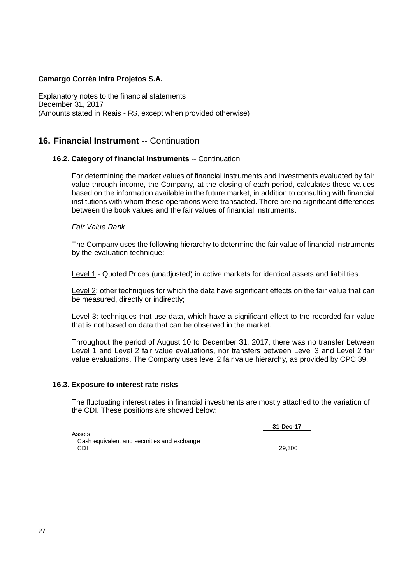Explanatory notes to the financial statements December 31, 2017 (Amounts stated in Reais - R\$, except when provided otherwise)

# **16. Financial Instrument** -- Continuation

### **16.2. Category of financial instruments** -- Continuation

For determining the market values of financial instruments and investments evaluated by fair value through income, the Company, at the closing of each period, calculates these values based on the information available in the future market, in addition to consulting with financial institutions with whom these operations were transacted. There are no significant differences between the book values and the fair values of financial instruments.

#### *Fair Value Rank*

The Company uses the following hierarchy to determine the fair value of financial instruments by the evaluation technique:

Level 1 - Quoted Prices (unadjusted) in active markets for identical assets and liabilities.

Level 2: other techniques for which the data have significant effects on the fair value that can be measured, directly or indirectly;

Level 3: techniques that use data, which have a significant effect to the recorded fair value that is not based on data that can be observed in the market.

Throughout the period of August 10 to December 31, 2017, there was no transfer between Level 1 and Level 2 fair value evaluations, nor transfers between Level 3 and Level 2 fair value evaluations. The Company uses level 2 fair value hierarchy, as provided by CPC 39.

### **16.3. Exposure to interest rate risks**

The fluctuating interest rates in financial investments are mostly attached to the variation of the CDI. These positions are showed below:

**31-Dec-17**

Assets Cash equivalent and securities and exchange CDI 29,300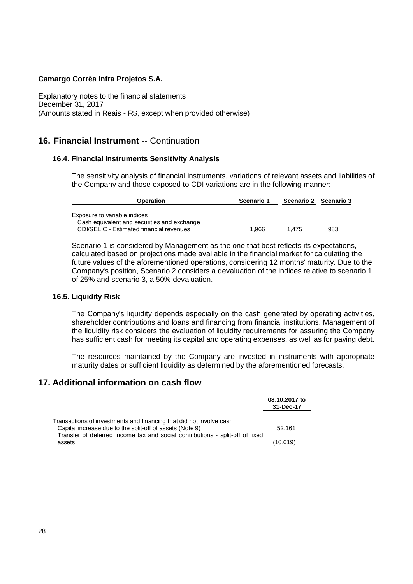Explanatory notes to the financial statements December 31, 2017 (Amounts stated in Reais - R\$, except when provided otherwise)

# **16. Financial Instrument** -- Continuation

### **16.4. Financial Instruments Sensitivity Analysis**

The sensitivity analysis of financial instruments, variations of relevant assets and liabilities of the Company and those exposed to CDI variations are in the following manner:

| <b>Operation</b>                                                                                                        | Scenario 1 | Scenario 2 Scenario 3 |     |
|-------------------------------------------------------------------------------------------------------------------------|------------|-----------------------|-----|
| Exposure to variable indices<br>Cash equivalent and securities and exchange<br>CDI/SELIC - Estimated financial revenues | 1.966      | 1.475                 | 983 |

Scenario 1 is considered by Management as the one that best reflects its expectations, calculated based on projections made available in the financial market for calculating the future values of the aforementioned operations, considering 12 months' maturity. Due to the Company's position, Scenario 2 considers a devaluation of the indices relative to scenario 1 of 25% and scenario 3, a 50% devaluation.

#### **16.5. Liquidity Risk**

The Company's liquidity depends especially on the cash generated by operating activities, shareholder contributions and loans and financing from financial institutions. Management of the liquidity risk considers the evaluation of liquidity requirements for assuring the Company has sufficient cash for meeting its capital and operating expenses, as well as for paying debt.

The resources maintained by the Company are invested in instruments with appropriate maturity dates or sufficient liquidity as determined by the aforementioned forecasts.

# **17. Additional information on cash flow**

|                                                                                                                                 | 08.10.2017 to<br>31-Dec-17 |
|---------------------------------------------------------------------------------------------------------------------------------|----------------------------|
| Transactions of investments and financing that did not involve cash<br>Capital increase due to the split-off of assets (Note 9) | 52.161                     |
| Transfer of deferred income tax and social contributions - split-off of fixed<br>assets                                         | (10,619)                   |